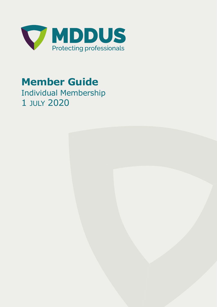

## **Member Guide**

Individual Membership 1 JULY 2020

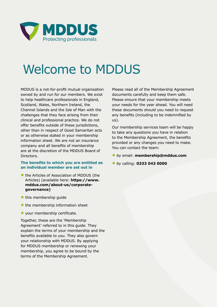

# Welcome to MDDUS

MDDUS is a not-for-profit mutual organisation owned by and run for our members. We exist to help healthcare professionals in England, Scotland, Wales, Northern Ireland, the Channel Islands and the Isle of Man with the challenges that they face arising from their clinical and professional practice. We do not offer benefits outside of these jurisdictions, other than in respect of Good Samaritan acts or as otherwise stated in your membership information sheet. We are not an insurance company and all benefits of membership are at the discretion of the MDDUS Board of Directors.

#### **The benefits to which you are entitled as an individual member are set out in**

- **•** the Articles of Association of MDDUS (the Articles) (available here: **https://www. mddus.com/about-us/corporategovernance)**
- **•** this membership guide
- **•** the membership information sheet
- **•** your membership certificate.

Together, these are the 'Membership Agreement' referred to in this guide. They explain the terms of your membership and the benefits available to you. They also govern your relationship with MDDUS. By applying for MDDUS membership or renewing your membership, you agree to be bound by the terms of the Membership Agreement.

Please read all of the Membership Agreement documents carefully and keep them safe. Please ensure that your membership meets your needs for the year ahead. You will need these documents should you need to request any benefits (including to be indemnified by us).

Our membership services team will be happy to take any questions you have in relation to the Membership Agreement, the benefits provided or any changes you need to make. You can contact the team:

- **•** by email: **membership@mddus.com**
- **•** by calling: **0333 043 0000**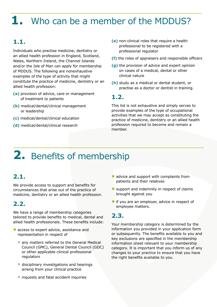### **1.** Who can be a member of the MDDUS?

#### **1.1.**

Individuals who practise medicine, dentistry or an allied health profession in England, Scotland, Wales, Northern Ireland, the Channel Islands and/or the Isle of Man can apply for membership of MDDUS. The following are nonexhaustive examples of the type of activity that might constitute the practice of medicine, dentistry or an allied health profession:

- **(a)** provision of advice, care or management of treatment to patients
- **(b)** medical/dental/clinical management or leadership
- **(c)** medical/dental/clinical education
- **(d)** medical/dental/clinical research
- **(e)** non-clinical roles that require a health professional to be registered with a professional regulator
- **(f)** the roles of appraisers and responsible officers
- **(g)** the provision of advice and expert opinion on cases of a medical, dental or other clinical nature
- **(h)** study as a medical or dental student, or practise as a doctor or dentist in training.

#### **1.2.**

This list is not exhaustive and simply serves to provide examples of the type of occupational activities that we may accept as constituting the practice of medicine, dentistry or an allied health profession required to become and remain a member.

### **2.** Benefits of membership

#### **2.1.**

We provide access to support and benefits for circumstances that arise out of the practice of medicine, dentistry or an allied health profession.

#### **2.2.**

We have a range of membership categories tailored to provide benefits to medical, dental and allied health professionals. These benefits include:

- **•** access to expert advice, assistance and representation in respect of
	- **•** any matters referred to the General Medical Council (GMC), General Dental Council (GDC) or other applicable clinical professional regulators
	- **•** disciplinary investigations and hearings arising from your clinical practice
	- **•** inquests and fatal accident inquiries
- advice and support with complaints from patients and their relatives
- **•** support and indemnity in respect of claims brought against you
- **•** if you are an employer, advice in respect of employee matters.

#### **2.3.**

Your membership category is determined by the information you provided in your application form or subsequently. The benefits available to you and key exclusions are specified in the membership information sheet relevant to your membership category. It is important that you inform us of any changes to your practice to ensure that you have the right benefits available to you.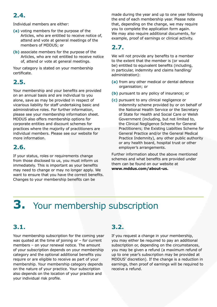#### **2.4.**

Individual members are either:

- **(a)** voting members for the purpose of the Articles, who are entitled to receive notice of, attend and vote at general meetings of the members of MDDUS; or
- **(b)** associate members for the purpose of the Articles, who are not entitled to receive notice of, attend or vote at general meetings.

Your category is stated on your membership certificate.

#### **2.5.**

Your membership and your benefits are provided on an annual basis and are individual to you alone, save as may be provided in respect of vicarious liability for staff undertaking basic and administrative roles. For further information, please see your membership information sheet. MDDUS also offers membership options for corporate entities and discount schemes for practices where the majority of practitioners are individual members. Please see our website for more information.

#### **2.6.**

If your status, roles or requirements change from those disclosed to us, you must inform us immediately. This is important as your benefits may need to change or may no longer apply. We want to ensure that you have the correct benefits. Changes to your membership benefits can be

made during the year and up to one year following the end of each membership year. Please note that, depending on the change, we may require you to complete the application form again. We may also require additional documents, for example, proof of earnings or clinical activity.

#### **2.7.**

We will not provide any benefits to a member to the extent that the member is (or would be) entitled to equivalent benefits (including, in particular, indemnity and claims handling/ administration):

- **(a)** from any other medical or dental defence organisation; or
- **(b)** pursuant to any policy of insurance; or
- **(c)** pursuant to any clinical negligence or indemnity scheme provided by or on behalf of the National Health Service or the Secretary of State for Health and Social Care or Welsh Government (including, but not limited to, the Clinical Negligence Scheme for General Practitioners; the Existing Liabilties Scheme for General Practice and/or the General Medical Practice Indemnity), any other public authority or any health board, hospital trust or other employer's arrangements.

Further information about the above mentioned schemes and what benefits are provided under them can be found on our website at **www.mddus.com/about-us.**

## **3.** Your membership subscription

#### **3.1.**

Your membership subscription for the coming year was quoted at the time of joining or – for current members – on your renewal notice. The amount of your subscription depends on your membership category and the optional additional benefits you require or are eligible to receive as part of your membership. Your membership category depends on the nature of your practice. Your subscription also depends on the location of your practice and your individual risk profile.

#### **3.2.**

If you request a change in your membership, you may either be required to pay an additional subscription or, depending on the circumstances, you may be given a refund (a maximum refund of up to one year's subscription may be provided at MDDUS' discretion). If the change is a reduction in earnings, then proof of earnings will be required to receive a refund.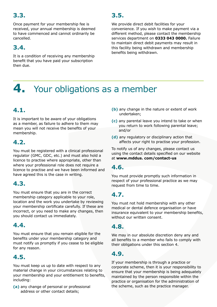#### **3.3.**

Once payment for your membership fee is received, your annual membership is deemed to have commenced and cannot ordinarily be cancelled.

#### **3.4.**

It is a condition of receiving any membership benefit that you have paid your subscription then due.

#### **3.5.**

We provide direct debit facilities for your convenience. If you wish to make payment via a different method, please contact the membership services department on **0333 043 0000.** Failure to maintain direct debit payments may result in this facility being withdrawn and membership benefits being withdrawn.

### **4.** Your obligations as a member

#### **4.1.**

It is important to be aware of your obligations as a member, as failure to adhere to them may mean you will not receive the benefits of your membership.

#### **4.2.**

You must be registered with a clinical professional regulator (GMC, GDC, etc.) and must also hold a licence to practise where appropriate, other than where your professional role does not require a licence to practise and we have been informed and have agreed this is the case in writing.

#### **4.3.**

You must ensure that you are in the correct membership category applicable to your role, location and the work you undertake by reviewing your membership certificate carefully. If these are incorrect, or you need to make any changes, then you should contact us immediately.

#### **4.4.**

You must ensure that you remain eligible for the benefits under your membership category and must notify us promptly if you cease to be eligible for any reason.

#### **4.5.**

You must keep us up to date with respect to any material change in your circumstances relating to your membership and your entitlement to benefits, including:

**(a)** any change of personal or professional address or other contact details;

- **(b)** any change in the nature or extent of work undertaken;
- **(c)** any parental leave you intend to take or when you return to work following parental leave; and/or
- **(d)** any regulatory or disciplinary action that affects your right to practise your profession.

To notify us of any changes, please contact us using the contact details specified on our website at **www.mddus. com/contact-us**

#### **4.6.**

You must provide promptly such information in respect of your professional practice as we may request from time to time.

#### **4.7.**

You must not hold membership with any other medical or dental defence organisation or have insurance equivalent to your membership benefits, without our written consent.

#### **4.8.**

We may in our absolute discretion deny any and all benefits to a member who fails to comply with their obligations under this section 4.

#### **4.9.**

If your membership is through a practice or corporate scheme, then it is your responsibility to ensure that your membership is being adequately maintained by the person responsible within the practice or organisation for the administration of the scheme, such as the practice manager.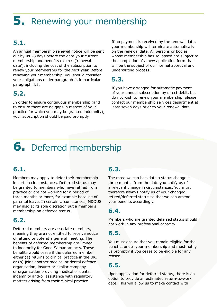### **5.** Renewing your membership

### **5.1.**

An annual membership renewal notice will be sent out by us 28 days before the date your current membership and benefits expires ('renewal date'), including the cost of the subscription to renew your membership for the next year. Before renewing your membership, you should consider your obligations under paragraph 4, in particular paragraph 4.5.

#### **5.2.**

In order to ensure continuous membership (and to ensure there are no gaps in respect of your practice for which you may be granted indemnity), your subscription should be paid promptly.

If no payment is received by the renewal date, your membership will terminate automatically on the renewal date. All persons or bodies whose membership has so lapsed are subject to the completion of a new application form that will be the subject of our normal approval and underwriting process.

#### **5.3.**

If you have arranged for automatic payment of your annual subscription by direct debit, but do not wish to renew your membership, please contact our membership services department at least seven days prior to your renewal date.

### **6.** Deferred membership

#### **6.1.**

Members may apply to defer their membership in certain circumstances. Deferred status may be granted to members who have retired from practice or are not working for a period of three months or more, for example because of parental leave. In certain circumstances, MDDUS may also at its sole discretion put a member's membership on deferred status.

#### **6.2.**

Deferred members are associate members, meaning they are not entitled to receive notice of, attend or vote at a general meeting. The benefits of deferred membership are limited to indemnity for Good Samaritan acts. These benefits would cease if the deferred member either (a) returns to clinical practice in the UK, or (b) joins another medical or dental defence organisation, insurer or similar company or organisation providing medical or dental indemnity and/or assistance with regulatory matters arising from their clinical practice.

#### **6.3.**

The most we can backdate a status change is three months from the date you notify us of a relevant change in circumstances. You must therefore always notify us of your changed retired/deferred status so that we can amend your benefits accordingly.

#### **6.4.**

Members who are granted deferred status should not work in any professional capacity.

#### **6.5.**

You must ensure that you remain eligible for the benefits under your membership and must notify us promptly if you cease to be eligible for any reason.

#### **6.5.**

Upon application for deferred status, there is an option to provide an estimated return-to-work date. This will allow us to make contact with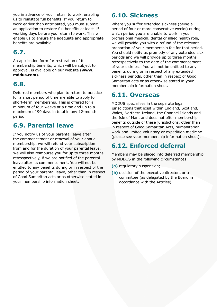you in advance of your return to work, enabling us to reinstate full benefits. If you return to work earlier than anticipated, you must submit an application to restore full benefits at least 15 working days before you return to work. This will enable us to ensure the adequate and appropriate benefits are available.

#### **6.7.**

An application form for restoration of full membership benefits, which will be subject to approval, is available on our website (**www. mddus.com**).

#### **6.8.**

Deferred members who plan to return to practice for a short period of time are able to apply for short-term membership. This is offered for a minimum of four weeks at a time and up to a maximum of 90 days in total in any 12-month period.

#### **6.9. Parental leave**

If you notify us of your parental leave after the commencement or renewal of your annual membership, we will refund your subscription from and for the duration of your parental leave. We will also reimburse you for up to three months retrospectively, if we are notified of the parental leave after its commencement. You will not be entitled to any benefits during or in respect of the period of your parental leave, other than in respect of Good Samaritan acts or as otherwise stated in your membership information sheet.

#### **6.10. Sickness**

Where you suffer extended sickness (being a period of four or more consecutive weeks) during which period you are unable to work in your professional medical, dental or allied health role, we will provide you with a refund of the relevant proportion of your membership fee for that period. You should notify us promptly of any extended sick periods and we will provide up to three months retrospectively to the date of the commencement of your sickness. You will not be entitled to any benefits during or in respect of any extended sickness periods, other than in respect of Good Samaritan acts or as otherwise stated in your membership information sheet.

#### **6.11. Overseas**

MDDUS specialises in the separate legal jurisdictions that exist within England, Scotland, Wales, Northern Ireland, the Channel Islands and the Isle of Man, and does not offer membership benefits outside of these jurisdictions, other than in respect of Good Samaritan Acts, humanitarian work and limited voluntary or expedition medicine (please see your membership information sheet).

#### **6.12. Enforced deferral**

Members may be placed into deferred membership by MDDUS in the following circumstances:

- **(a)** regulatory suspension;
- **(b)** decision of the executive directors or a committee (as delegated by the Board in accordance with the Articles)**.**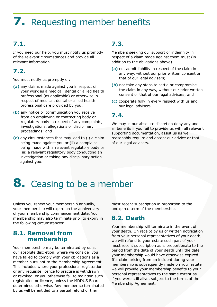### **7.** Requesting member benefits

#### **7.1.**

If you need our help, you must notify us promptly of the relevant circumstances and provide all relevant information.

#### **7.2.**

You must notify us promptly of:

- **(a)** any claims made against you in respect of your work as a medical, dental or allied health professional (as applicable) or otherwise in respect of medical, dental or allied health professional care provided by you;
- **(b)** any notice or communication you receive from an employing or contracting body or regulatory body in respect of any complaints, investigations, allegations or disciplinary proceedings; and
- **(c)** any circumstances that may lead to (i) a claim being made against you or (ii) a complaint being made with a relevant regulatory body or (iii) a relevant regulatory body conducting an investigation or taking any disciplinary action against you.

#### **7.3.**

Members seeking our support or indemnity in respect of a claim made against them must (in addition to the obligations above):

- **(a)** not admit liability in respect of the claim in any way, without our prior written consent or that of our legal advisers;
- **(b)** not take any steps to settle or compromise the claim in any way, without our prior written consent or that of our legal advisers; and
- **(c)** cooperate fully in every respect with us and our legal advisers.

#### **7.4.**

We may in our absolute discretion deny any and all benefits if you fail to provide us with all relevant supporting documentation, assist us as we reasonably require and accept our advice or that of our legal advisers.

### **8.** Ceasing to be a member

Unless you renew your membership annually, your membership will expire on the anniversary of your membership commencement date. Your membership may also terminate prior to expiry in the following circumstances:

#### **8.1. Removal from membership**

Your membership may be terminated by us at our absolute discretion, where we consider you have failed to comply with your obligations as a member pursuant to the Membership Agreement. This includes where your professional registration or any requisite licence to practise is withdrawn or revoked, or you otherwise fail to maintain such registration or licence, unless the MDDUS Board determines otherwise. Any member so terminated by us will be entitled to a partial refund of their

most recent subscription in proportion to the unexpired term of the membership.

#### **8.2. Death**

Your membership will terminate in the event of your death. On receipt by us of written notification from your personal representatives of your death, we will refund to your estate such part of your most recent subscription as is proportionate to the period from the date of your death until the date your membership would have otherwise expired. If a claim arising from an incident during your membership is subsequently made on your estate we will provide your membership benefits to your personal representatives to the same extent as if you were still alive, subject to the terms of the Membership Agreement.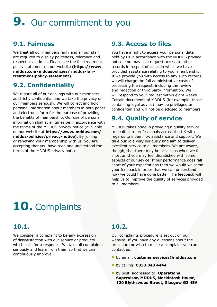## **9.** Our commitment to you

#### **9.1. Fairness**

We treat all our members fairly and all our staff are required to display politeness, tolerance and respect at all times. Please see the fair treatment policy statement on our website **(https://www. mddus.com/mdduspolicies/ mddus-fairtreatment-policy-statement).**

#### **9.2. Confidentiality**

We regard all of our dealings with our members as strictly confidential and we take the privacy of our members seriously. We will collect and hold personal information about members in both paper and electronic form for the purpose of providing the benefits of membership. Our use of personal information shall at all times be in accordance with the terms of the MDDUS privacy notice (available on our website at **https://www. mddus.com/ mddus-policies/privacy-notice)**. By joining or renewing your membership with us, you are accepting that you have read and understood the terms of the MDDUS privacy notice.

#### **9.3. Access to files**

You have a right to access your personal data held by us in accordance with the MDDUS privacy notice. You may also request access to other records in respect of cases in which we have provided assistance relating to your membership. If we provide you with access to any such records, we will charge the full administrative costs of processing the request, including the review and redaction of third party information. We will respond to your request within eight weeks. Certain documents of MDDUS (for example, those containing legal advice) may be privileged or confidential and will not be disclosed to members.

#### **9.4. Quality of service**

MDDUS takes pride in providing a quality service to healthcare professionals across the UK with regards to indemnity, assistance and support. We take our role very seriously and aim to deliver excellent service to all members. We are aware, though, that there may be occasions when we fall short amd you may feel dissatisfied with some aspects of our sevice. If our performance does fall short of your expectations then we would welcome your feedback in order that we can understand how we could have done better. The feedback will help us to improve the quality of services provided to all members.

## **10.** Complaints

#### **10.1.**

We consider a complaint to be any expression of dissatisfaction with our service or products which calls for a response. We take all complaints seriously and learn from them so that we can continuously improve.

#### **10.2.**

Our complaints procedure is set out on our website. If you have any questions about the procedure or wish to make a complaint you can contact us:

- **•** by email: **customerservices@mddus.com**
- **•** by calling: **0333 043 4444**
- **•** by post, addressed to: **Operations Supervisor, MDDUS, Mackintosh House, 120 Blythswood Street, Glasgow G2 4EA.**